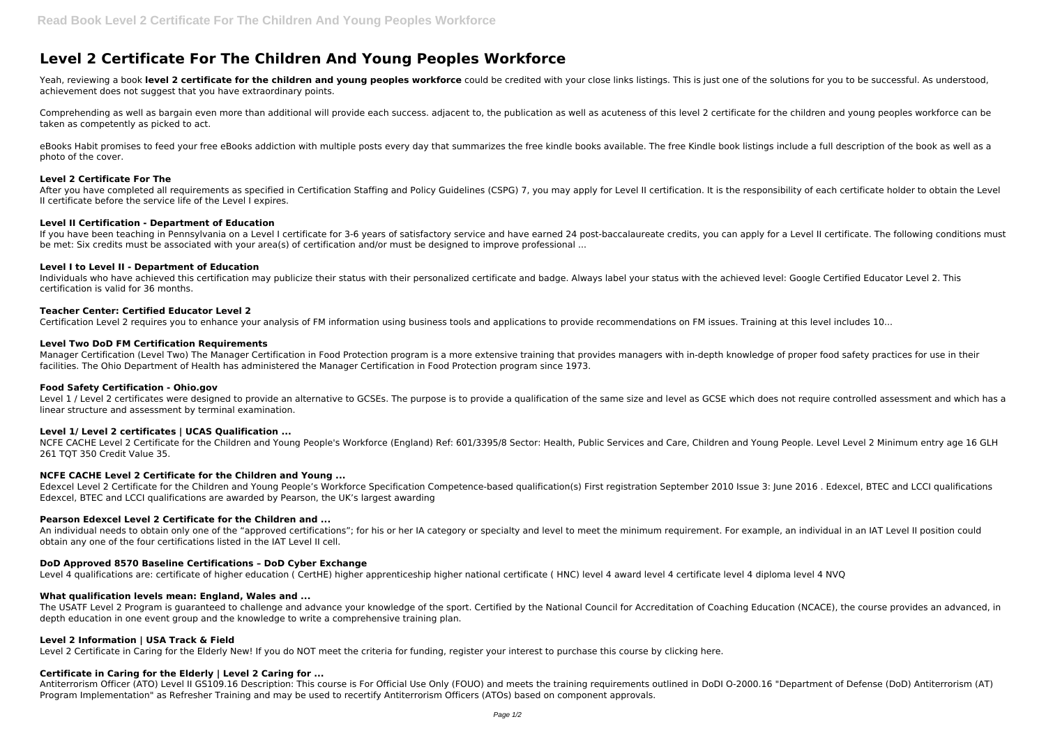# **Level 2 Certificate For The Children And Young Peoples Workforce**

Yeah, reviewing a book level 2 certificate for the children and young peoples workforce could be credited with your close links listings. This is just one of the solutions for you to be successful. As understood, achievement does not suggest that you have extraordinary points.

Comprehending as well as bargain even more than additional will provide each success. adjacent to, the publication as well as acuteness of this level 2 certificate for the children and young peoples workforce can be taken as competently as picked to act.

eBooks Habit promises to feed your free eBooks addiction with multiple posts every day that summarizes the free kindle books available. The free Kindle book listings include a full description of the book as well as a photo of the cover.

After you have completed all requirements as specified in Certification Staffing and Policy Guidelines (CSPG) 7, you may apply for Level II certification. It is the responsibility of each certificate holder to obtain the L II certificate before the service life of the Level I expires.

If you have been teaching in Pennsylvania on a Level I certificate for 3-6 years of satisfactory service and have earned 24 post-baccalaureate credits, you can apply for a Level II certificate. The following conditions mus be met: Six credits must be associated with your area(s) of certification and/or must be designed to improve professional ...

## **Level 2 Certificate For The**

## **Level II Certification - Department of Education**

Level 1 / Level 2 certificates were designed to provide an alternative to GCSEs. The purpose is to provide a qualification of the same size and level as GCSE which does not require controlled assessment and which has a linear structure and assessment by terminal examination.

NCFE CACHE Level 2 Certificate for the Children and Young People's Workforce (England) Ref: 601/3395/8 Sector: Health, Public Services and Care, Children and Young People. Level Level 2 Minimum entry age 16 GLH 261 TOT 350 Credit Value 35.

## **Level I to Level II - Department of Education**

Individuals who have achieved this certification may publicize their status with their personalized certificate and badge. Always label your status with the achieved level: Google Certified Educator Level 2. This certification is valid for 36 months.

## **Teacher Center: Certified Educator Level 2**

Certification Level 2 requires you to enhance your analysis of FM information using business tools and applications to provide recommendations on FM issues. Training at this level includes 10...

## **Level Two DoD FM Certification Requirements**

The USATF Level 2 Program is guaranteed to challenge and advance your knowledge of the sport. Certified by the National Council for Accreditation of Coaching Education (NCACE), the course provides an advanced, in depth education in one event group and the knowledge to write a comprehensive training plan.

Manager Certification (Level Two) The Manager Certification in Food Protection program is a more extensive training that provides managers with in-depth knowledge of proper food safety practices for use in their facilities. The Ohio Department of Health has administered the Manager Certification in Food Protection program since 1973.

## **Food Safety Certification - Ohio.gov**

# **Level 1/ Level 2 certificates | UCAS Qualification ...**

## **NCFE CACHE Level 2 Certificate for the Children and Young ...**

Edexcel Level 2 Certificate for the Children and Young People's Workforce Specification Competence-based qualification(s) First registration September 2010 Issue 3: June 2016 . Edexcel, BTEC and LCCI qualifications Edexcel, BTEC and LCCI qualifications are awarded by Pearson, the UK's largest awarding

## **Pearson Edexcel Level 2 Certificate for the Children and ...**

An individual needs to obtain only one of the "approved certifications"; for his or her IA category or specialty and level to meet the minimum requirement. For example, an individual in an IAT Level II position could obtain any one of the four certifications listed in the IAT Level II cell.

# **DoD Approved 8570 Baseline Certifications – DoD Cyber Exchange**

Level 4 qualifications are: certificate of higher education ( CertHE) higher apprenticeship higher national certificate ( HNC) level 4 award level 4 certificate level 4 diploma level 4 NVQ

## **What qualification levels mean: England, Wales and ...**

## **Level 2 Information | USA Track & Field**

Level 2 Certificate in Caring for the Elderly New! If you do NOT meet the criteria for funding, register your interest to purchase this course by clicking here.

# **Certificate in Caring for the Elderly | Level 2 Caring for ...**

Antiterrorism Officer (ATO) Level II GS109.16 Description: This course is For Official Use Only (FOUO) and meets the training requirements outlined in DoDI O-2000.16 "Department of Defense (DoD) Antiterrorism (AT) Program Implementation" as Refresher Training and may be used to recertify Antiterrorism Officers (ATOs) based on component approvals.